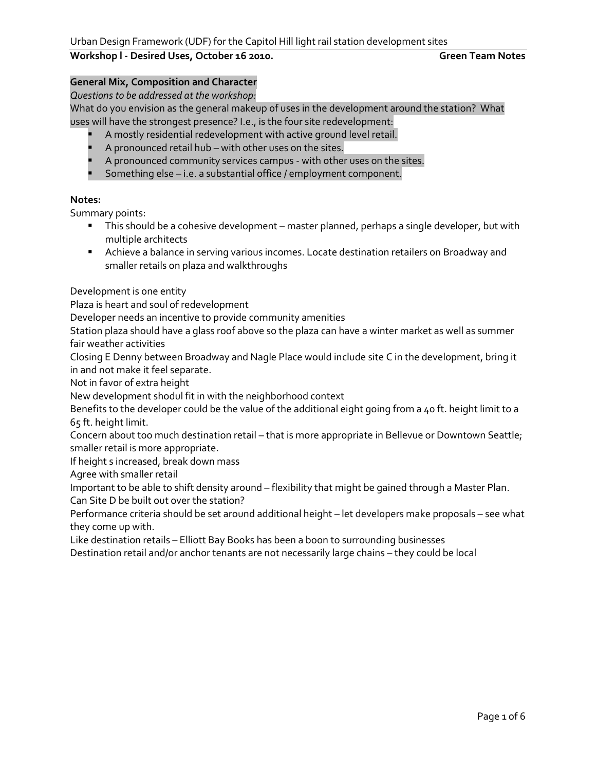## **General Mix, Composition and Character**

*Questions to be addressed at the workshop:*

What do you envision as the general makeup of uses in the development around the station? What uses will have the strongest presence? I.e., is the four site redevelopment:

- A mostly residential redevelopment with active ground level retail.
- A pronounced retail hub with other uses on the sites.
- **A** pronounced community services campus with other uses on the sites.
- Something else i.e. a substantial office / employment component.

#### **Notes:**

Summary points:

- This should be a cohesive development master planned, perhaps a single developer, but with multiple architects
- Achieve a balance in serving various incomes. Locate destination retailers on Broadway and smaller retails on plaza and walkthroughs

Development is one entity

Plaza is heart and soul of redevelopment

Developer needs an incentive to provide community amenities

Station plaza should have a glass roof above so the plaza can have a winter market as well as summer fair weather activities

Closing E Denny between Broadway and Nagle Place would include site C in the development, bring it in and not make it feel separate.

Not in favor of extra height

New development shodul fit in with the neighborhood context

Benefits to the developer could be the value of the additional eight going from a 40 ft. height limit to a 65 ft. height limit.

Concern about too much destination retail – that is more appropriate in Bellevue or Downtown Seattle; smaller retail is more appropriate.

If height s increased, break down mass

Agree with smaller retail

Important to be able to shift density around – flexibility that might be gained through a Master Plan.

Can Site D be built out over the station?

Performance criteria should be set around additional height – let developers make proposals – see what they come up with.

Like destination retails – Elliott Bay Books has been a boon to surrounding businesses

Destination retail and/or anchor tenants are not necessarily large chains – they could be local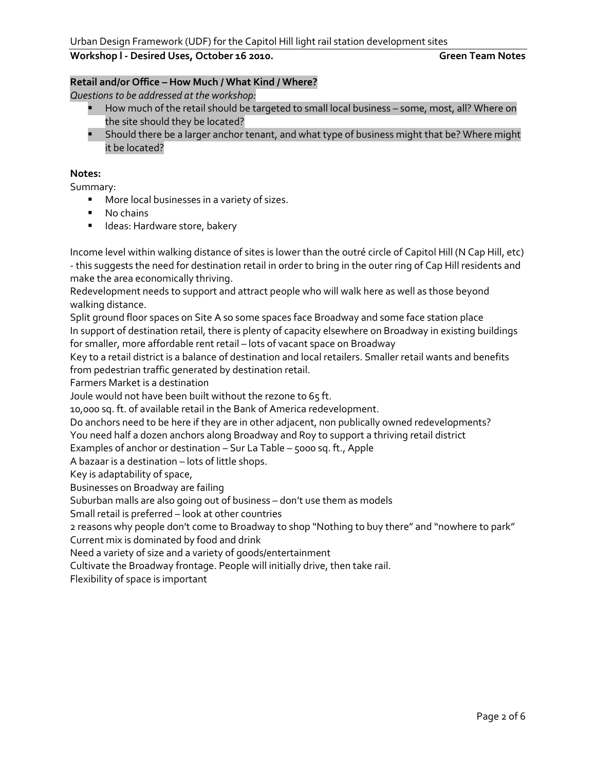## **Retail and/or Office – How Much / What Kind / Where?**

*Questions to be addressed at the workshop:*

- How much of the retail should be targeted to small local business some, most, all? Where on the site should they be located?
- **Should there be a larger anchor tenant, and what type of business might that be? Where might** it be located?

#### **Notes:**

Summary:

- **More local businesses in a variety of sizes.**
- No chains
- **IDEAS:** Hardware store, bakery

Income level within walking distance of sites is lower than the outré circle of Capitol Hill (N Cap Hill, etc) - this suggests the need for destination retail in order to bring in the outer ring of Cap Hill residents and make the area economically thriving.

Redevelopment needs to support and attract people who will walk here as well as those beyond walking distance.

Split ground floor spaces on Site A so some spaces face Broadway and some face station place In support of destination retail, there is plenty of capacity elsewhere on Broadway in existing buildings for smaller, more affordable rent retail – lots of vacant space on Broadway

Key to a retail district is a balance of destination and local retailers. Smaller retail wants and benefits from pedestrian traffic generated by destination retail.

Farmers Market is a destination

Joule would not have been built without the rezone to 65 ft.

10,000 sq. ft. of available retail in the Bank of America redevelopment.

Do anchors need to be here if they are in other adjacent, non publically owned redevelopments?

You need half a dozen anchors along Broadway and Roy to support a thriving retail district

Examples of anchor or destination – Sur La Table – 5000 sq. ft., Apple

A bazaar is a destination – lots of little shops.

Key is adaptability of space,

Businesses on Broadway are failing

Suburban malls are also going out of business – don't use them as models

Small retail is preferred – look at other countries

2 reasons why people don't come to Broadway to shop "Nothing to buy there" and "nowhere to park"

Current mix is dominated by food and drink

Need a variety of size and a variety of goods/entertainment

Cultivate the Broadway frontage. People will initially drive, then take rail.

Flexibility of space is important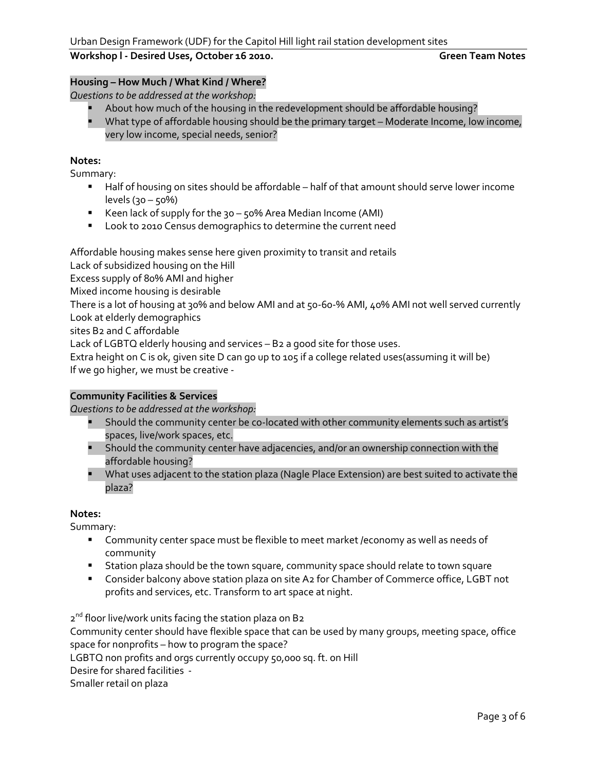# **Housing – How Much / What Kind / Where?**

*Questions to be addressed at the workshop:*

- **About how much of the housing in the redevelopment should be affordable housing?**
- What type of affordable housing should be the primary target Moderate Income, low income, very low income, special needs, senior?

### **Notes:**

Summary:

- Half of housing on sites should be affordable half of that amount should serve lower income levels (30 – 50%)
- Keen lack of supply for the 30 50% Area Median Income (AMI)
- **Look to 2010 Census demographics to determine the current need**

Affordable housing makes sense here given proximity to transit and retails

Lack of subsidized housing on the Hill

Excess supply of 80% AMI and higher

Mixed income housing is desirable

There is a lot of housing at 30% and below AMI and at 50-60-% AMI, 40% AMI not well served currently Look at elderly demographics

sites B2 and C affordable

Lack of LGBTQ elderly housing and services – B2 a good site for those uses.

Extra height on C is ok, given site D can go up to 105 if a college related uses(assuming it will be) If we go higher, we must be creative -

## **Community Facilities & Services**

*Questions to be addressed at the workshop:*

- **Should the community center be co-located with other community elements such as artist's** spaces, live/work spaces, etc.
- Should the community center have adjacencies, and/or an ownership connection with the affordable housing?
- What uses adjacent to the station plaza (Nagle Place Extension) are best suited to activate the plaza?

## **Notes:**

Summary:

- Community center space must be flexible to meet market /economy as well as needs of community
- **Station plaza should be the town square, community space should relate to town square**
- Consider balcony above station plaza on site A2 for Chamber of Commerce office, LGBT not profits and services, etc. Transform to art space at night.

2<sup>nd</sup> floor live/work units facing the station plaza on B2 Community center should have flexible space that can be used by many groups, meeting space, office space for nonprofits – how to program the space? LGBTQ non profits and orgs currently occupy 50,000 sq. ft. on Hill Desire for shared facilities - Smaller retail on plaza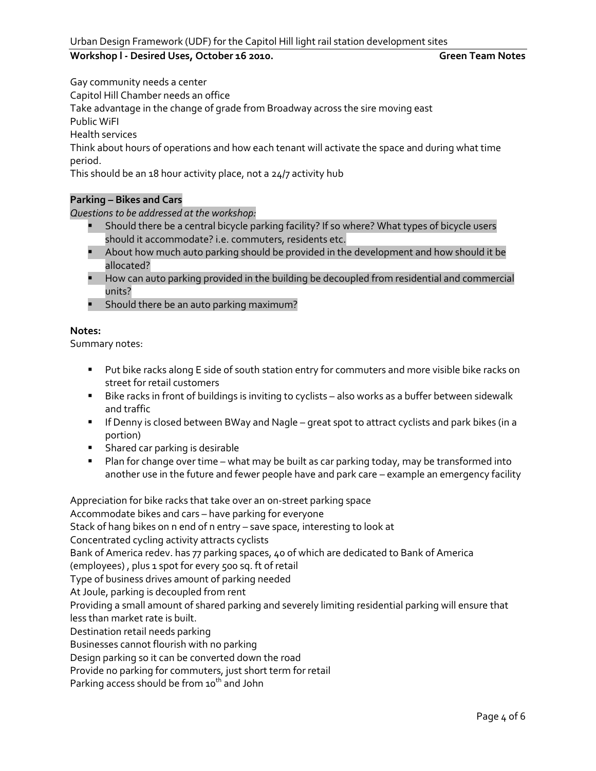Gay community needs a center

Capitol Hill Chamber needs an office

Take advantage in the change of grade from Broadway across the sire moving east

Public WiFI

Health services

Think about hours of operations and how each tenant will activate the space and during what time period.

This should be an 18 hour activity place, not a 24/7 activity hub

## **Parking – Bikes and Cars**

*Questions to be addressed at the workshop:*

- **Should there be a central bicycle parking facility? If so where? What types of bicycle users** should it accommodate? i.e. commuters, residents etc.
- About how much auto parking should be provided in the development and how should it be allocated?
- **How can auto parking provided in the building be decoupled from residential and commercial** units?
- **Should there be an auto parking maximum?**

#### **Notes:**

Summary notes:

- **Put bike racks along E side of south station entry for commuters and more visible bike racks on** street for retail customers
- Bike racks in front of buildings is inviting to cyclists also works as a buffer between sidewalk and traffic
- **If Denny is closed between BWay and Nagle great spot to attract cyclists and park bikes (in a** portion)
- **Shared car parking is desirable**
- **Plan for change over time what may be built as car parking today, may be transformed into** another use in the future and fewer people have and park care – example an emergency facility

Appreciation for bike racks that take over an on-street parking space Accommodate bikes and cars – have parking for everyone Stack of hang bikes on n end of n entry – save space, interesting to look at Concentrated cycling activity attracts cyclists Bank of America redev. has 77 parking spaces, 40 of which are dedicated to Bank of America (employees) , plus 1 spot for every 500 sq. ft of retail Type of business drives amount of parking needed At Joule, parking is decoupled from rent Providing a small amount of shared parking and severely limiting residential parking will ensure that less than market rate is built. Destination retail needs parking Businesses cannot flourish with no parking Design parking so it can be converted down the road Provide no parking for commuters, just short term for retail Parking access should be from 10<sup>th</sup> and John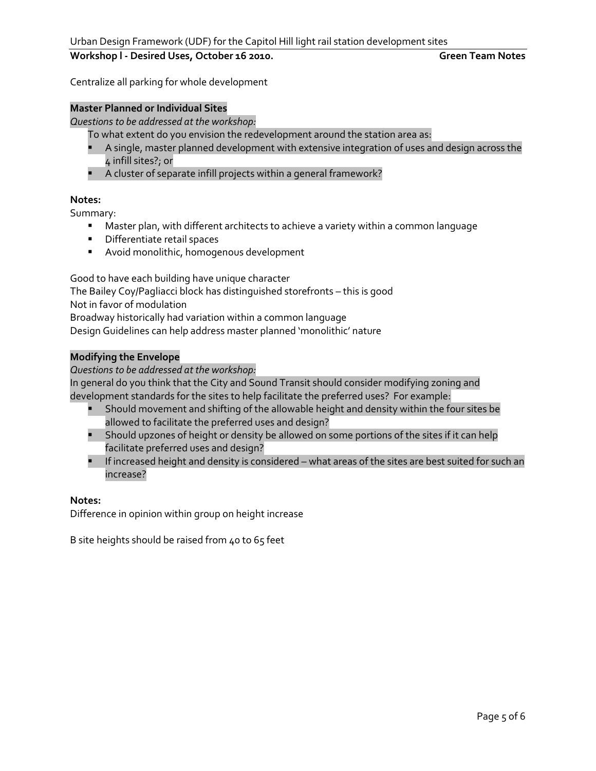Centralize all parking for whole development

#### **Master Planned or Individual Sites**

*Questions to be addressed at the workshop:*

To what extent do you envision the redevelopment around the station area as:

- A single, master planned development with extensive integration of uses and design across the 4 infill sites?; or
- A cluster of separate infill projects within a general framework?

#### **Notes:**

Summary:

- Master plan, with different architects to achieve a variety within a common language
- **•** Differentiate retail spaces
- Avoid monolithic, homogenous development

Good to have each building have unique character

The Bailey Coy/Pagliacci block has distinguished storefronts – this is good

Not in favor of modulation

Broadway historically had variation within a common language

Design Guidelines can help address master planned 'monolithic' nature

#### **Modifying the Envelope**

*Questions to be addressed at the workshop:*

In general do you think that the City and Sound Transit should consider modifying zoning and development standards for the sites to help facilitate the preferred uses? For example:

- Should movement and shifting of the allowable height and density within the four sites be allowed to facilitate the preferred uses and design?
- **Should upzones of height or density be allowed on some portions of the sites if it can help** facilitate preferred uses and design?
- If increased height and density is considered what areas of the sites are best suited for such an increase?

#### **Notes:**

Difference in opinion within group on height increase

B site heights should be raised from 40 to 65 feet